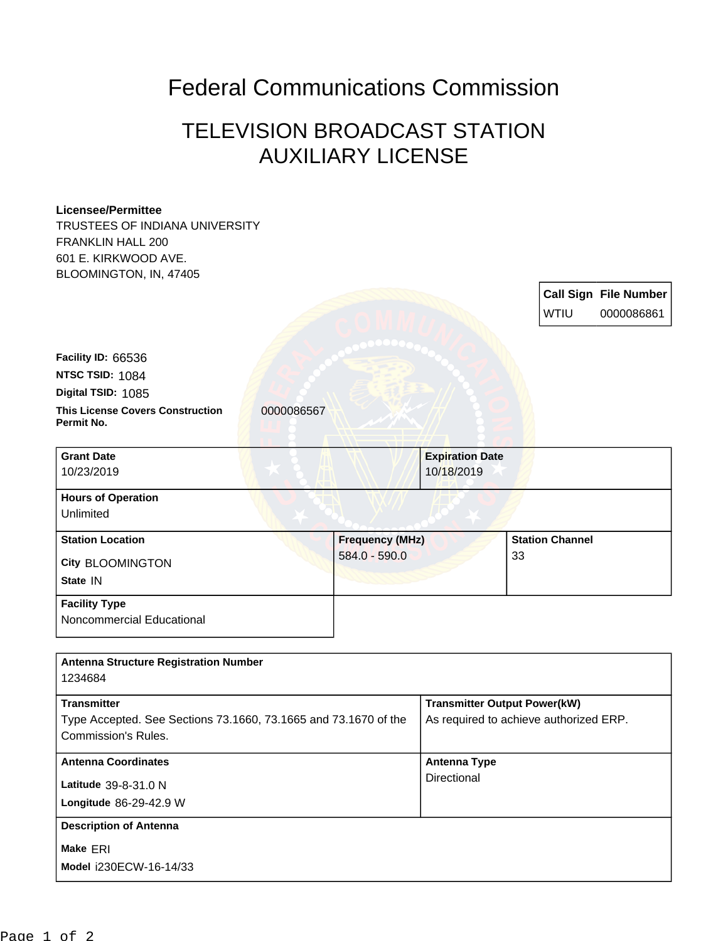## Federal Communications Commission

## TELEVISION BROADCAST STATION AUXILIARY LICENSE

## **Licensee/Permittee**

TRUSTEES OF INDIANA UNIVERSITY FRANKLIN HALL 200 601 E. KIRKWOOD AVE. BLOOMINGTON, IN, 47405

|                                                       |            |                        |                        |                        | <b>Call Sign File Number</b> |
|-------------------------------------------------------|------------|------------------------|------------------------|------------------------|------------------------------|
|                                                       |            |                        |                        | <b>WTIU</b>            | 0000086861                   |
|                                                       |            |                        |                        |                        |                              |
| Facility ID: 66536                                    |            |                        |                        |                        |                              |
| <b>NTSC TSID: 1084</b>                                |            |                        |                        |                        |                              |
| Digital TSID: 1085                                    |            |                        |                        |                        |                              |
| <b>This License Covers Construction</b><br>Permit No. | 0000086567 |                        |                        |                        |                              |
|                                                       |            |                        |                        |                        |                              |
| <b>Grant Date</b>                                     |            |                        | <b>Expiration Date</b> |                        |                              |
| 10/23/2019                                            |            |                        | 10/18/2019             |                        |                              |
| <b>Hours of Operation</b>                             |            |                        |                        |                        |                              |
| Unlimited                                             |            |                        |                        |                        |                              |
| <b>Station Location</b>                               |            | <b>Frequency (MHz)</b> |                        | <b>Station Channel</b> |                              |
| <b>City BLOOMINGTON</b>                               |            | 584.0 - 590.0          |                        | 33                     |                              |
| State IN                                              |            |                        |                        |                        |                              |
| <b>Facility Type</b>                                  |            |                        |                        |                        |                              |
| Noncommercial Educational                             |            |                        |                        |                        |                              |
|                                                       |            |                        |                        |                        |                              |

| <b>Antenna Structure Registration Number</b>                                                                        |                                                                               |  |  |
|---------------------------------------------------------------------------------------------------------------------|-------------------------------------------------------------------------------|--|--|
| 1234684                                                                                                             |                                                                               |  |  |
| <b>Transmitter</b><br>Type Accepted. See Sections 73.1660, 73.1665 and 73.1670 of the<br><b>Commission's Rules.</b> | <b>Transmitter Output Power(kW)</b><br>As required to achieve authorized ERP. |  |  |
| <b>Antenna Coordinates</b>                                                                                          | <b>Antenna Type</b>                                                           |  |  |
| <b>Latitude</b> 39-8-31.0 N<br><b>Longitude 86-29-42.9 W</b>                                                        | Directional                                                                   |  |  |
| <b>Description of Antenna</b>                                                                                       |                                                                               |  |  |
| Make ERI<br>Model i230ECW-16-14/33                                                                                  |                                                                               |  |  |